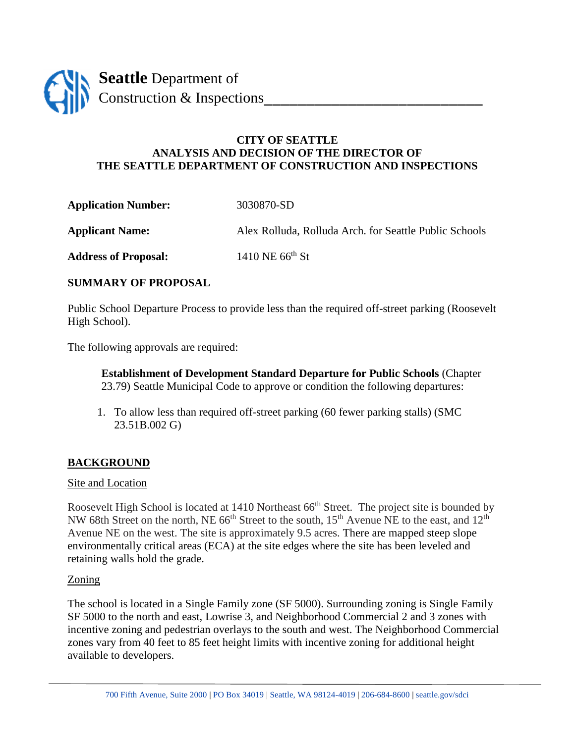

# **CITY OF SEATTLE ANALYSIS AND DECISION OF THE DIRECTOR OF THE SEATTLE DEPARTMENT OF CONSTRUCTION AND INSPECTIONS**

**Application Number:** 3030870-SD

**Applicant Name:** Alex Rolluda, Rolluda Arch. for Seattle Public Schools

Address of Proposal: 1410 NE 66<sup>th</sup> St

## **SUMMARY OF PROPOSAL**

Public School Departure Process to provide less than the required off-street parking (Roosevelt High School).

The following approvals are required:

**Establishment of Development Standard Departure for Public Schools** (Chapter 23.79) Seattle Municipal Code to approve or condition the following departures:

1. To allow less than required off-street parking (60 fewer parking stalls) (SMC 23.51B.002 G)

# **BACKGROUND**

## Site and Location

Roosevelt High School is located at 1410 Northeast 66<sup>th</sup> Street. The project site is bounded by NW 68th Street on the north, NE 66<sup>th</sup> Street to the south,  $15<sup>th</sup>$  Avenue NE to the east, and  $12<sup>th</sup>$ Avenue NE on the west. The site is approximately 9.5 acres. There are mapped steep slope environmentally critical areas (ECA) at the site edges where the site has been leveled and retaining walls hold the grade.

## Zoning

The school is located in a Single Family zone (SF 5000). Surrounding zoning is Single Family SF 5000 to the north and east, Lowrise 3, and Neighborhood Commercial 2 and 3 zones with incentive zoning and pedestrian overlays to the south and west. The Neighborhood Commercial zones vary from 40 feet to 85 feet height limits with incentive zoning for additional height available to developers.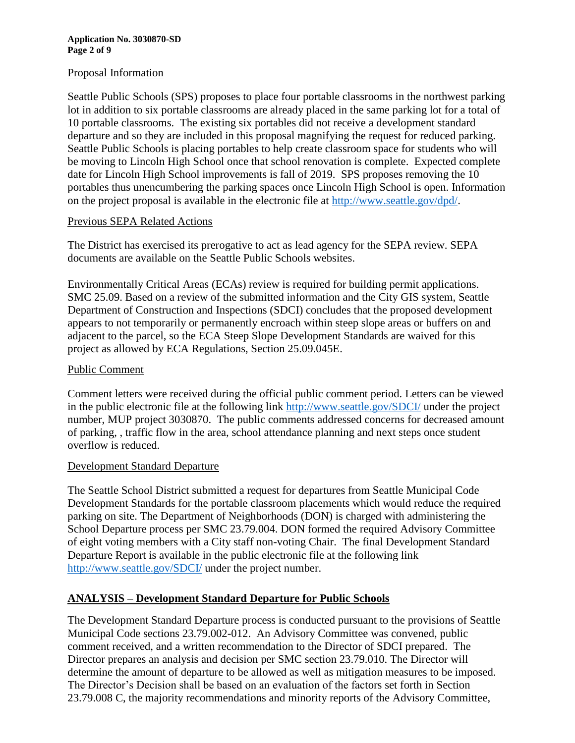#### **Application No. 3030870-SD Page 2 of 9**

## Proposal Information

Seattle Public Schools (SPS) proposes to place four portable classrooms in the northwest parking lot in addition to six portable classrooms are already placed in the same parking lot for a total of 10 portable classrooms. The existing six portables did not receive a development standard departure and so they are included in this proposal magnifying the request for reduced parking. Seattle Public Schools is placing portables to help create classroom space for students who will be moving to Lincoln High School once that school renovation is complete. Expected complete date for Lincoln High School improvements is fall of 2019. SPS proposes removing the 10 portables thus unencumbering the parking spaces once Lincoln High School is open. Information on the project proposal is available in the electronic file at [http://www.seattle.gov/dpd/.](http://www.seattle.gov/dpd/)

## Previous SEPA Related Actions

The District has exercised its prerogative to act as lead agency for the SEPA review. SEPA documents are available on the Seattle Public Schools websites.

Environmentally Critical Areas (ECAs) review is required for building permit applications. SMC 25.09. Based on a review of the submitted information and the City GIS system, Seattle Department of Construction and Inspections (SDCI) concludes that the proposed development appears to not temporarily or permanently encroach within steep slope areas or buffers on and adjacent to the parcel, so the ECA Steep Slope Development Standards are waived for this project as allowed by ECA Regulations, Section 25.09.045E.

## Public Comment

Comment letters were received during the official public comment period. Letters can be viewed in the public electronic file at the following link [http://www.seattle.gov/SDCI/](http://www.seattle.gov/dpd/) under the project number, MUP project 3030870. The public comments addressed concerns for decreased amount of parking, , traffic flow in the area, school attendance planning and next steps once student overflow is reduced.

## Development Standard Departure

The Seattle School District submitted a request for departures from Seattle Municipal Code Development Standards for the portable classroom placements which would reduce the required parking on site. The Department of Neighborhoods (DON) is charged with administering the School Departure process per SMC 23.79.004. DON formed the required Advisory Committee of eight voting members with a City staff non-voting Chair. The final Development Standard Departure Report is available in the public electronic file at the following link [http://www.seattle.gov/SDCI/](http://www.seattle.gov/dpd/) under the project number.

# **ANALYSIS – Development Standard Departure for Public Schools**

The Development Standard Departure process is conducted pursuant to the provisions of Seattle Municipal Code sections 23.79.002-012. An Advisory Committee was convened, public comment received, and a written recommendation to the Director of SDCI prepared. The Director prepares an analysis and decision per SMC section 23.79.010. The Director will determine the amount of departure to be allowed as well as mitigation measures to be imposed. The Director's Decision shall be based on an evaluation of the factors set forth in Section 23.79.008 C, the majority recommendations and minority reports of the Advisory Committee,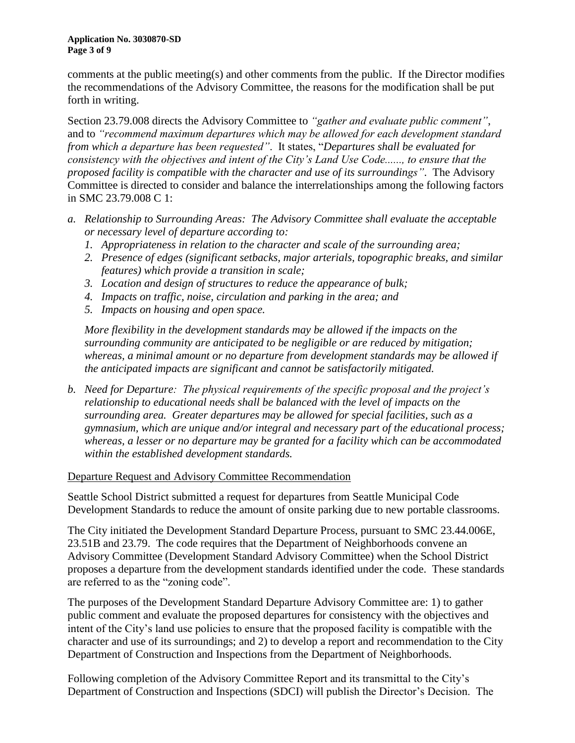#### **Application No. 3030870-SD Page 3 of 9**

comments at the public meeting(s) and other comments from the public. If the Director modifies the recommendations of the Advisory Committee, the reasons for the modification shall be put forth in writing.

Section 23.79.008 directs the Advisory Committee to *"gather and evaluate public comment"*, and to *"recommend maximum departures which may be allowed for each development standard from which a departure has been requested"*. It states, "*Departures shall be evaluated for consistency with the objectives and intent of the City's Land Use Code......, to ensure that the proposed facility is compatible with the character and use of its surroundings"*. The Advisory Committee is directed to consider and balance the interrelationships among the following factors in SMC 23.79.008 C 1:

- *a. Relationship to Surrounding Areas: The Advisory Committee shall evaluate the acceptable or necessary level of departure according to:*
	- *1. Appropriateness in relation to the character and scale of the surrounding area;*
	- *2. Presence of edges (significant setbacks, major arterials, topographic breaks, and similar features) which provide a transition in scale;*
	- *3. Location and design of structures to reduce the appearance of bulk;*
	- *4. Impacts on traffic, noise, circulation and parking in the area; and*
	- *5. Impacts on housing and open space.*

*More flexibility in the development standards may be allowed if the impacts on the surrounding community are anticipated to be negligible or are reduced by mitigation; whereas, a minimal amount or no departure from development standards may be allowed if the anticipated impacts are significant and cannot be satisfactorily mitigated.*

*b. Need for Departure: The physical requirements of the specific proposal and the project's relationship to educational needs shall be balanced with the level of impacts on the surrounding area. Greater departures may be allowed for special facilities, such as a gymnasium, which are unique and/or integral and necessary part of the educational process; whereas, a lesser or no departure may be granted for a facility which can be accommodated within the established development standards.*

## Departure Request and Advisory Committee Recommendation

Seattle School District submitted a request for departures from Seattle Municipal Code Development Standards to reduce the amount of onsite parking due to new portable classrooms.

The City initiated the Development Standard Departure Process, pursuant to SMC 23.44.006E, 23.51B and 23.79. The code requires that the Department of Neighborhoods convene an Advisory Committee (Development Standard Advisory Committee) when the School District proposes a departure from the development standards identified under the code. These standards are referred to as the "zoning code".

The purposes of the Development Standard Departure Advisory Committee are: 1) to gather public comment and evaluate the proposed departures for consistency with the objectives and intent of the City's land use policies to ensure that the proposed facility is compatible with the character and use of its surroundings; and 2) to develop a report and recommendation to the City Department of Construction and Inspections from the Department of Neighborhoods.

Following completion of the Advisory Committee Report and its transmittal to the City's Department of Construction and Inspections (SDCI) will publish the Director's Decision. The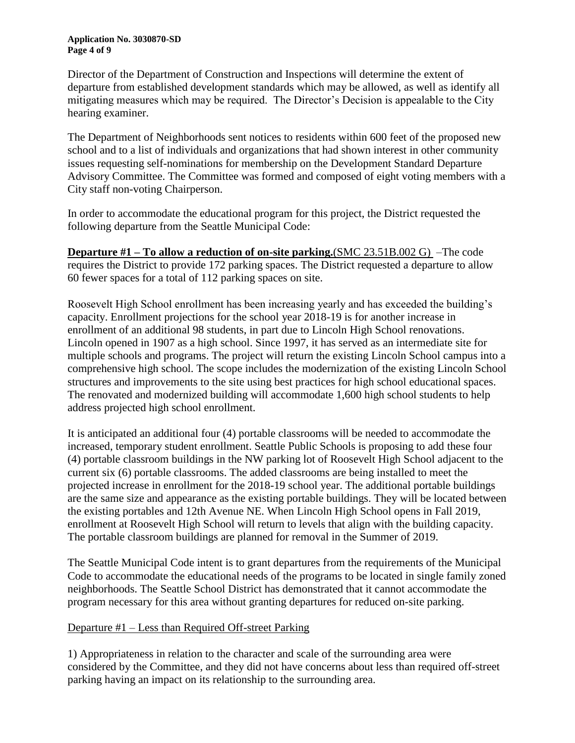#### **Application No. 3030870-SD Page 4 of 9**

Director of the Department of Construction and Inspections will determine the extent of departure from established development standards which may be allowed, as well as identify all mitigating measures which may be required. The Director's Decision is appealable to the City hearing examiner.

The Department of Neighborhoods sent notices to residents within 600 feet of the proposed new school and to a list of individuals and organizations that had shown interest in other community issues requesting self-nominations for membership on the Development Standard Departure Advisory Committee. The Committee was formed and composed of eight voting members with a City staff non-voting Chairperson.

In order to accommodate the educational program for this project, the District requested the following departure from the Seattle Municipal Code:

**Departure #1 – To allow a reduction of on-site parking.**(SMC 23.51B.002 G) –The code requires the District to provide 172 parking spaces. The District requested a departure to allow 60 fewer spaces for a total of 112 parking spaces on site.

Roosevelt High School enrollment has been increasing yearly and has exceeded the building's capacity. Enrollment projections for the school year 2018-19 is for another increase in enrollment of an additional 98 students, in part due to Lincoln High School renovations. Lincoln opened in 1907 as a high school. Since 1997, it has served as an intermediate site for multiple schools and programs. The project will return the existing Lincoln School campus into a comprehensive high school. The scope includes the modernization of the existing Lincoln School structures and improvements to the site using best practices for high school educational spaces. The renovated and modernized building will accommodate 1,600 high school students to help address projected high school enrollment.

It is anticipated an additional four (4) portable classrooms will be needed to accommodate the increased, temporary student enrollment. Seattle Public Schools is proposing to add these four (4) portable classroom buildings in the NW parking lot of Roosevelt High School adjacent to the current six (6) portable classrooms. The added classrooms are being installed to meet the projected increase in enrollment for the 2018-19 school year. The additional portable buildings are the same size and appearance as the existing portable buildings. They will be located between the existing portables and 12th Avenue NE. When Lincoln High School opens in Fall 2019, enrollment at Roosevelt High School will return to levels that align with the building capacity. The portable classroom buildings are planned for removal in the Summer of 2019.

The Seattle Municipal Code intent is to grant departures from the requirements of the Municipal Code to accommodate the educational needs of the programs to be located in single family zoned neighborhoods. The Seattle School District has demonstrated that it cannot accommodate the program necessary for this area without granting departures for reduced on-site parking.

# Departure #1 – Less than Required Off-street Parking

1) Appropriateness in relation to the character and scale of the surrounding area were considered by the Committee, and they did not have concerns about less than required off-street parking having an impact on its relationship to the surrounding area.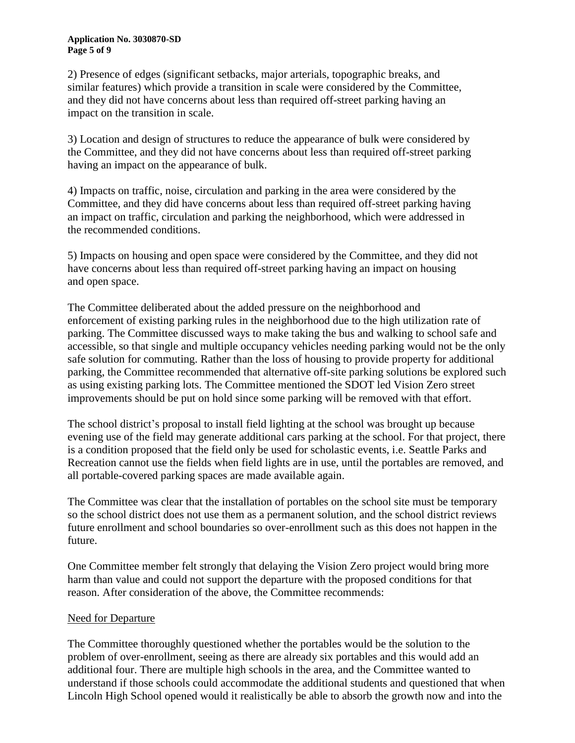2) Presence of edges (significant setbacks, major arterials, topographic breaks, and similar features) which provide a transition in scale were considered by the Committee, and they did not have concerns about less than required off-street parking having an impact on the transition in scale.

3) Location and design of structures to reduce the appearance of bulk were considered by the Committee, and they did not have concerns about less than required off-street parking having an impact on the appearance of bulk.

4) Impacts on traffic, noise, circulation and parking in the area were considered by the Committee, and they did have concerns about less than required off-street parking having an impact on traffic, circulation and parking the neighborhood, which were addressed in the recommended conditions.

5) Impacts on housing and open space were considered by the Committee, and they did not have concerns about less than required off-street parking having an impact on housing and open space.

The Committee deliberated about the added pressure on the neighborhood and enforcement of existing parking rules in the neighborhood due to the high utilization rate of parking. The Committee discussed ways to make taking the bus and walking to school safe and accessible, so that single and multiple occupancy vehicles needing parking would not be the only safe solution for commuting. Rather than the loss of housing to provide property for additional parking, the Committee recommended that alternative off-site parking solutions be explored such as using existing parking lots. The Committee mentioned the SDOT led Vision Zero street improvements should be put on hold since some parking will be removed with that effort.

The school district's proposal to install field lighting at the school was brought up because evening use of the field may generate additional cars parking at the school. For that project, there is a condition proposed that the field only be used for scholastic events, i.e. Seattle Parks and Recreation cannot use the fields when field lights are in use, until the portables are removed, and all portable-covered parking spaces are made available again.

The Committee was clear that the installation of portables on the school site must be temporary so the school district does not use them as a permanent solution, and the school district reviews future enrollment and school boundaries so over-enrollment such as this does not happen in the future.

One Committee member felt strongly that delaying the Vision Zero project would bring more harm than value and could not support the departure with the proposed conditions for that reason. After consideration of the above, the Committee recommends:

# Need for Departure

The Committee thoroughly questioned whether the portables would be the solution to the problem of over-enrollment, seeing as there are already six portables and this would add an additional four. There are multiple high schools in the area, and the Committee wanted to understand if those schools could accommodate the additional students and questioned that when Lincoln High School opened would it realistically be able to absorb the growth now and into the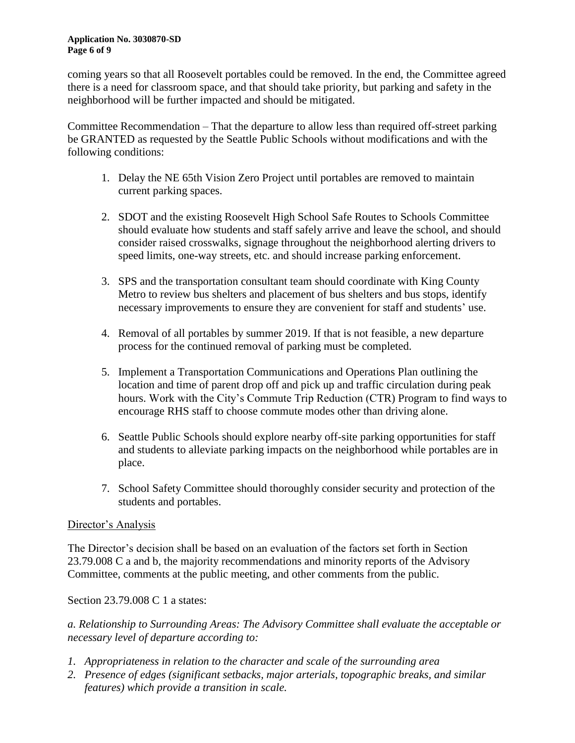#### **Application No. 3030870-SD Page 6 of 9**

coming years so that all Roosevelt portables could be removed. In the end, the Committee agreed there is a need for classroom space, and that should take priority, but parking and safety in the neighborhood will be further impacted and should be mitigated.

Committee Recommendation – That the departure to allow less than required off-street parking be GRANTED as requested by the Seattle Public Schools without modifications and with the following conditions:

- 1. Delay the NE 65th Vision Zero Project until portables are removed to maintain current parking spaces.
- 2. SDOT and the existing Roosevelt High School Safe Routes to Schools Committee should evaluate how students and staff safely arrive and leave the school, and should consider raised crosswalks, signage throughout the neighborhood alerting drivers to speed limits, one-way streets, etc. and should increase parking enforcement.
- 3. SPS and the transportation consultant team should coordinate with King County Metro to review bus shelters and placement of bus shelters and bus stops, identify necessary improvements to ensure they are convenient for staff and students' use.
- 4. Removal of all portables by summer 2019. If that is not feasible, a new departure process for the continued removal of parking must be completed.
- 5. Implement a Transportation Communications and Operations Plan outlining the location and time of parent drop off and pick up and traffic circulation during peak hours. Work with the City's Commute Trip Reduction (CTR) Program to find ways to encourage RHS staff to choose commute modes other than driving alone.
- 6. Seattle Public Schools should explore nearby off-site parking opportunities for staff and students to alleviate parking impacts on the neighborhood while portables are in place.
- 7. School Safety Committee should thoroughly consider security and protection of the students and portables.

# Director's Analysis

The Director's decision shall be based on an evaluation of the factors set forth in Section 23.79.008 C a and b, the majority recommendations and minority reports of the Advisory Committee, comments at the public meeting, and other comments from the public.

Section 23.79.008 C 1 a states:

*a. Relationship to Surrounding Areas: The Advisory Committee shall evaluate the acceptable or necessary level of departure according to:*

- *1. Appropriateness in relation to the character and scale of the surrounding area*
- *2. Presence of edges (significant setbacks, major arterials, topographic breaks, and similar features) which provide a transition in scale.*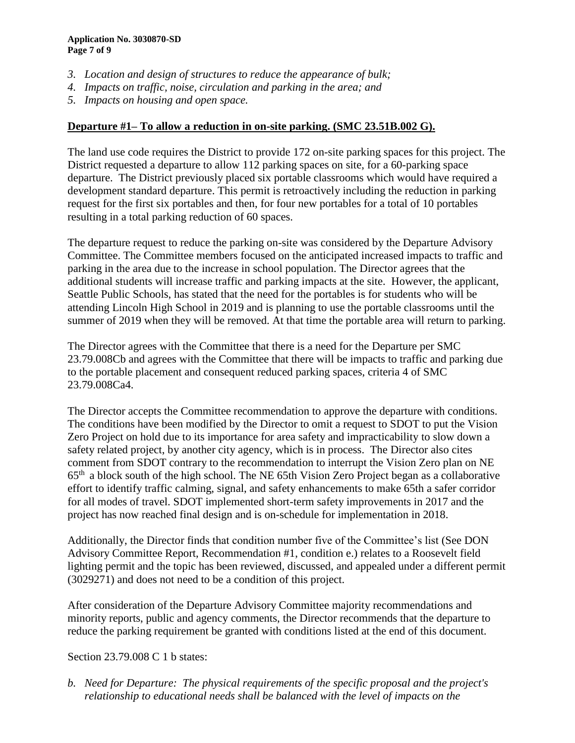- *3. Location and design of structures to reduce the appearance of bulk;*
- *4. Impacts on traffic, noise, circulation and parking in the area; and*
- *5. Impacts on housing and open space.*

## **Departure #1– To allow a reduction in on-site parking. (SMC 23.51B.002 G).**

The land use code requires the District to provide 172 on-site parking spaces for this project. The District requested a departure to allow 112 parking spaces on site, for a 60-parking space departure. The District previously placed six portable classrooms which would have required a development standard departure. This permit is retroactively including the reduction in parking request for the first six portables and then, for four new portables for a total of 10 portables resulting in a total parking reduction of 60 spaces.

The departure request to reduce the parking on-site was considered by the Departure Advisory Committee. The Committee members focused on the anticipated increased impacts to traffic and parking in the area due to the increase in school population. The Director agrees that the additional students will increase traffic and parking impacts at the site. However, the applicant, Seattle Public Schools, has stated that the need for the portables is for students who will be attending Lincoln High School in 2019 and is planning to use the portable classrooms until the summer of 2019 when they will be removed. At that time the portable area will return to parking.

The Director agrees with the Committee that there is a need for the Departure per SMC 23.79.008Cb and agrees with the Committee that there will be impacts to traffic and parking due to the portable placement and consequent reduced parking spaces, criteria 4 of SMC 23.79.008Ca4.

The Director accepts the Committee recommendation to approve the departure with conditions. The conditions have been modified by the Director to omit a request to SDOT to put the Vision Zero Project on hold due to its importance for area safety and impracticability to slow down a safety related project, by another city agency, which is in process. The Director also cites comment from SDOT contrary to the recommendation to interrupt the Vision Zero plan on NE  $65<sup>th</sup>$  a block south of the high school. The NE 65th Vision Zero Project began as a collaborative effort to identify traffic calming, signal, and safety enhancements to make 65th a safer corridor for all modes of travel. SDOT implemented short-term safety improvements in 2017 and the project has now reached final design and is on-schedule for implementation in 2018.

Additionally, the Director finds that condition number five of the Committee's list (See DON Advisory Committee Report, Recommendation #1, condition e.) relates to a Roosevelt field lighting permit and the topic has been reviewed, discussed, and appealed under a different permit (3029271) and does not need to be a condition of this project.

After consideration of the Departure Advisory Committee majority recommendations and minority reports, public and agency comments, the Director recommends that the departure to reduce the parking requirement be granted with conditions listed at the end of this document.

## Section 23.79.008 C 1 b states:

*b. Need for Departure: The physical requirements of the specific proposal and the project's relationship to educational needs shall be balanced with the level of impacts on the*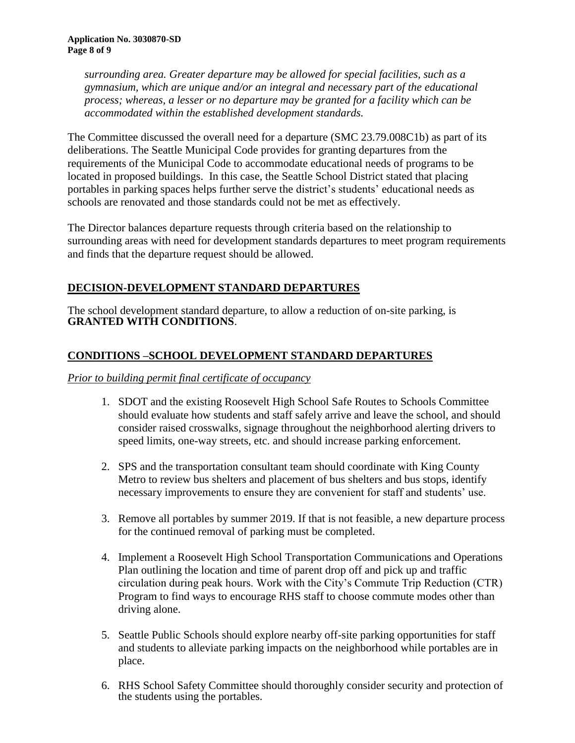*surrounding area. Greater departure may be allowed for special facilities, such as a gymnasium, which are unique and/or an integral and necessary part of the educational process; whereas, a lesser or no departure may be granted for a facility which can be accommodated within the established development standards.*

The Committee discussed the overall need for a departure (SMC 23.79.008C1b) as part of its deliberations. The Seattle Municipal Code provides for granting departures from the requirements of the Municipal Code to accommodate educational needs of programs to be located in proposed buildings. In this case, the Seattle School District stated that placing portables in parking spaces helps further serve the district's students' educational needs as schools are renovated and those standards could not be met as effectively.

The Director balances departure requests through criteria based on the relationship to surrounding areas with need for development standards departures to meet program requirements and finds that the departure request should be allowed.

# **DECISION-DEVELOPMENT STANDARD DEPARTURES**

The school development standard departure, to allow a reduction of on-site parking, is **GRANTED WITH CONDITIONS**.

# **CONDITIONS –SCHOOL DEVELOPMENT STANDARD DEPARTURES**

# *Prior to building permit final certificate of occupancy*

- 1. SDOT and the existing Roosevelt High School Safe Routes to Schools Committee should evaluate how students and staff safely arrive and leave the school, and should consider raised crosswalks, signage throughout the neighborhood alerting drivers to speed limits, one-way streets, etc. and should increase parking enforcement.
- 2. SPS and the transportation consultant team should coordinate with King County Metro to review bus shelters and placement of bus shelters and bus stops, identify necessary improvements to ensure they are convenient for staff and students' use.
- 3. Remove all portables by summer 2019. If that is not feasible, a new departure process for the continued removal of parking must be completed.
- 4. Implement a Roosevelt High School Transportation Communications and Operations Plan outlining the location and time of parent drop off and pick up and traffic circulation during peak hours. Work with the City's Commute Trip Reduction (CTR) Program to find ways to encourage RHS staff to choose commute modes other than driving alone.
- 5. Seattle Public Schools should explore nearby off-site parking opportunities for staff and students to alleviate parking impacts on the neighborhood while portables are in place.
- 6. RHS School Safety Committee should thoroughly consider security and protection of the students using the portables.